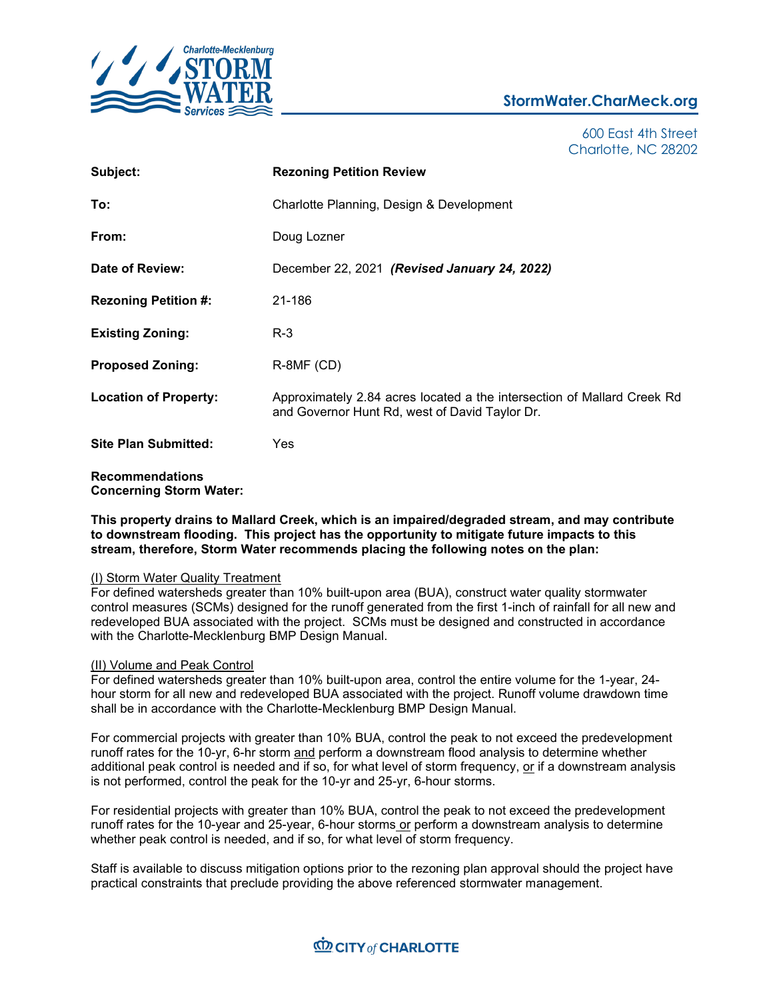

## **StormWater.CharMeck.org**

600 East 4th Street Charlotte, NC 28202

| Subject:                                                 | <b>Rezoning Petition Review</b>                                                                                           |
|----------------------------------------------------------|---------------------------------------------------------------------------------------------------------------------------|
| To:                                                      | Charlotte Planning, Design & Development                                                                                  |
| From:                                                    | Doug Lozner                                                                                                               |
| Date of Review:                                          | December 22, 2021 (Revised January 24, 2022)                                                                              |
| <b>Rezoning Petition #:</b>                              | 21-186                                                                                                                    |
| <b>Existing Zoning:</b>                                  | $R-3$                                                                                                                     |
| <b>Proposed Zoning:</b>                                  | $R$ -8MF (CD)                                                                                                             |
| <b>Location of Property:</b>                             | Approximately 2.84 acres located a the intersection of Mallard Creek Rd<br>and Governor Hunt Rd, west of David Taylor Dr. |
| <b>Site Plan Submitted:</b>                              | Yes                                                                                                                       |
| <b>Recommendations</b><br><b>Concerning Storm Water:</b> |                                                                                                                           |

**This property drains to Mallard Creek, which is an impaired/degraded stream, and may contribute to downstream flooding. This project has the opportunity to mitigate future impacts to this stream, therefore, Storm Water recommends placing the following notes on the plan:**

## (I) Storm Water Quality Treatment

For defined watersheds greater than 10% built-upon area (BUA), construct water quality stormwater control measures (SCMs) designed for the runoff generated from the first 1-inch of rainfall for all new and redeveloped BUA associated with the project. SCMs must be designed and constructed in accordance with the Charlotte-Mecklenburg BMP Design Manual.

## (II) Volume and Peak Control

For defined watersheds greater than 10% built-upon area, control the entire volume for the 1-year, 24 hour storm for all new and redeveloped BUA associated with the project. Runoff volume drawdown time shall be in accordance with the Charlotte-Mecklenburg BMP Design Manual.

For commercial projects with greater than 10% BUA, control the peak to not exceed the predevelopment runoff rates for the 10-yr, 6-hr storm and perform a downstream flood analysis to determine whether additional peak control is needed and if so, for what level of storm frequency, or if a downstream analysis is not performed, control the peak for the 10-yr and 25-yr, 6-hour storms.

For residential projects with greater than 10% BUA, control the peak to not exceed the predevelopment runoff rates for the 10-year and 25-year, 6-hour storms or perform a downstream analysis to determine whether peak control is needed, and if so, for what level of storm frequency.

Staff is available to discuss mitigation options prior to the rezoning plan approval should the project have practical constraints that preclude providing the above referenced stormwater management.